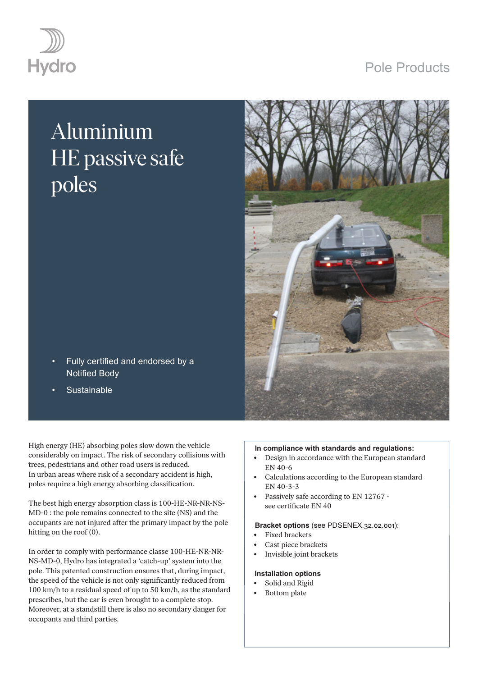## Pole Products



# Aluminium HE passive safe poles



- Fully certified and endorsed by a Notified Body
- **Sustainable**

High energy (HE) absorbing poles slow down the vehicle considerably on impact. The risk of secondary collisions with trees, pedestrians and other road users is reduced. In urban areas where risk of a secondary accident is high, poles require a high energy absorbing classification.

The best high energy absorption class is 100-HE-NR-NR-NS-MD-0 : the pole remains connected to the site (NS) and the occupants are not injured after the primary impact by the pole hitting on the roof (0).

In order to comply with performance classe 100-HE-NR-NR-NS-MD-0, Hydro has integrated a 'catch-up' system into the pole. This patented construction ensures that, during impact, the speed of the vehicle is not only significantly reduced from 100 km/h to a residual speed of up to 50 km/h, as the standard prescribes, but the car is even brought to a complete stop. Moreover, at a standstill there is also no secondary danger for occupants and third parties.

#### **In compliance with standards and regulations:**

- Design in accordance with the European standard EN 40-6
- Calculations according to the European standard EN 40-3-3
- Passively safe according to EN 12767 see certificate EN 40

#### **Bracket options** (see PDSENEX.32.02.001):

- Fixed brackets
- Cast piece brackets
- Invisible joint brackets

#### **Installation options**

- Solid and Rigid
- Bottom plate